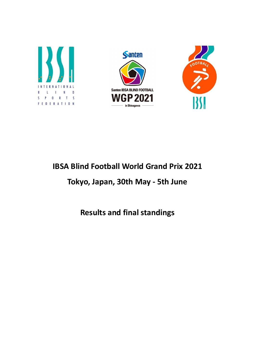





# IBSA Blind Football World Grand Prix 2021

# Tokyo, Japan, 30th May - 5th June

Results and final standings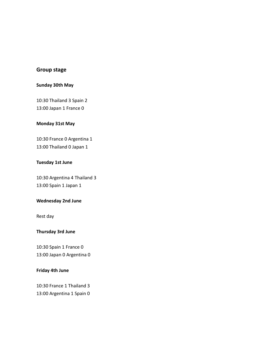## Group stage

## Sunday 30th May

10:30 Thailand 3 Spain 2 13:00 Japan 1 France 0

#### Monday 31st May

10:30 France 0 Argentina 1 13:00 Thailand 0 Japan 1

#### Tuesday 1st June

10:30 Argentina 4 Thailand 3 13:00 Spain 1 Japan 1

#### Wednesday 2nd June

Rest day

#### Thursday 3rd June

10:30 Spain 1 France 0 13:00 Japan 0 Argentina 0

#### Friday 4th June

10:30 France 1 Thailand 3 13:00 Argentina 1 Spain 0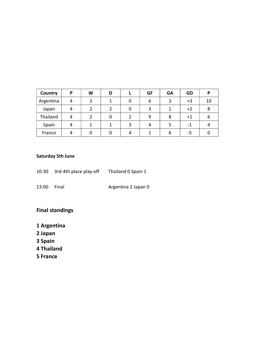| Country   | P | W | D |   | <b>GF</b> | <b>GA</b> | <b>GD</b> | P  |
|-----------|---|---|---|---|-----------|-----------|-----------|----|
| Argentina | 4 | 3 |   | 0 | 6         | 3         | $+3$      | 10 |
| Japan     | 4 |   | 2 | 0 | 3         |           | $+2$      | 8  |
| Thailand  | 4 |   | 0 |   | 9         | 8         | +1        | 6  |
| Spain     | 4 |   |   | 3 | 4         |           | -1        |    |
| France    | 4 |   |   |   |           | b         | -5        |    |

## Saturday 5th June

- 10:30 3rd-4th place play-off Thailand 0 Spain 1 13:00 Final **Argentina 2 Japan 0**
- 

## Final standings

- 1 Argentina
- 2 Japan
- 3 Spain
- 4 Thailand
- 5 France